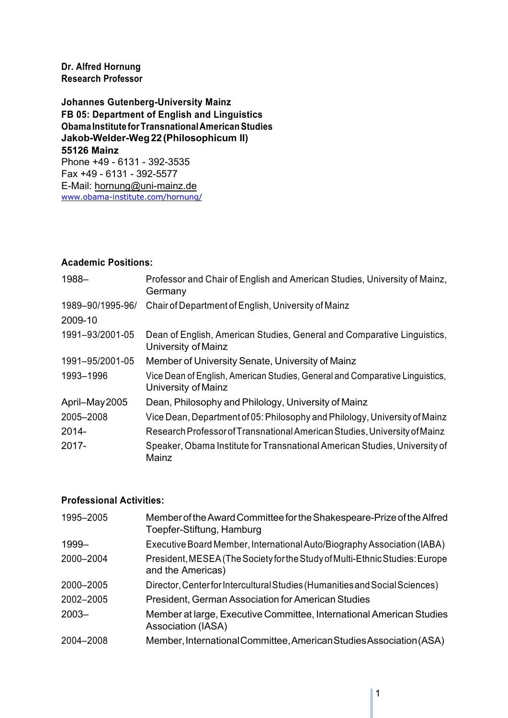#### **Dr. Alfred Hornung Research Professor**

**Johannes Gutenberg-University Mainz FB 05: Department of English and Linguistics Obama Institute forTransnationalAmericanStudies Jakob-Welder-Weg22(Philosophicum II) 55126 Mainz** Phone +49 - 6131 - 392-3535 Fax +49 - 6131 - 392-5577 E-Mail: hornung@uni-mainz.de www.obama-institute.com/hornung/

#### **Academic Positions:**

| 1988-            | Professor and Chair of English and American Studies, University of Mainz,<br>Germany                |
|------------------|-----------------------------------------------------------------------------------------------------|
| 1989-90/1995-96/ | Chair of Department of English, University of Mainz                                                 |
| 2009-10          |                                                                                                     |
| 1991-93/2001-05  | Dean of English, American Studies, General and Comparative Linguistics,<br>University of Mainz      |
| 1991-95/2001-05  | Member of University Senate, University of Mainz                                                    |
| 1993-1996        | Vice Dean of English, American Studies, General and Comparative Linguistics,<br>University of Mainz |
| April-May 2005   | Dean, Philosophy and Philology, University of Mainz                                                 |
| 2005-2008        | Vice Dean, Department of 05: Philosophy and Philology, University of Mainz                          |
| 2014-            | Research Professor of Transnational American Studies, University of Mainz                           |
| $2017 -$         | Speaker, Obama Institute for Transnational American Studies, University of<br>Mainz                 |

#### **Professional Activities:**

| 1995-2005 | Member of the Award Committee for the Shakespeare-Prize of the Alfred<br>Toepfer-Stiftung, Hamburg |
|-----------|----------------------------------------------------------------------------------------------------|
| 1999-     | Executive Board Member, International Auto/Biography Association (IABA)                            |
| 2000-2004 | President, MESEA (The Society for the Study of Multi-Ethnic Studies: Europe<br>and the Americas)   |
| 2000-2005 | Director, Centerfor Intercultural Studies (Humanities and Social Sciences)                         |
| 2002-2005 | President, German Association for American Studies                                                 |
| $2003 -$  | Member at large, Executive Committee, International American Studies<br>Association (IASA)         |
| 2004-2008 | Member, International Committee, American Studies Association (ASA)                                |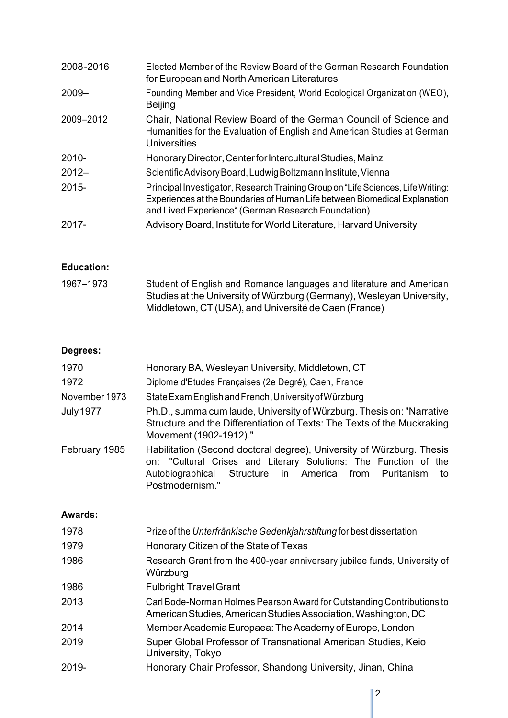| 2008-2016 | Elected Member of the Review Board of the German Research Foundation<br>for European and North American Literatures                                                                                                  |
|-----------|----------------------------------------------------------------------------------------------------------------------------------------------------------------------------------------------------------------------|
| $2009 -$  | Founding Member and Vice President, World Ecological Organization (WEO),<br><b>Beijing</b>                                                                                                                           |
| 2009-2012 | Chair, National Review Board of the German Council of Science and<br>Humanities for the Evaluation of English and American Studies at German<br>Universities                                                         |
| $2010 -$  | Honorary Director, Center for Intercultural Studies, Mainz                                                                                                                                                           |
| $2012 -$  | Scientific Advisory Board, Ludwig Boltzmann Institute, Vienna                                                                                                                                                        |
| $2015 -$  | Principal Investigator, Research Training Group on "Life Sciences, Life Writing:<br>Experiences at the Boundaries of Human Life between Biomedical Explanation<br>and Lived Experience" (German Research Foundation) |
| $2017 -$  | Advisory Board, Institute for World Literature, Harvard University                                                                                                                                                   |

## **Education:**

| 1967-1973 | Student of English and Romance languages and literature and American  |
|-----------|-----------------------------------------------------------------------|
|           | Studies at the University of Würzburg (Germany), Wesleyan University, |
|           | Middletown, CT (USA), and Université de Caen (France)                 |

## **Degrees:**

| 1970             | Honorary BA, Wesleyan University, Middletown, CT                                                                                                                                                                            |
|------------------|-----------------------------------------------------------------------------------------------------------------------------------------------------------------------------------------------------------------------------|
| 1972             | Diplome d'Etudes Françaises (2e Degré), Caen, France                                                                                                                                                                        |
| November 1973    | State Exam English and French, University of Würzburg                                                                                                                                                                       |
| <b>July 1977</b> | Ph.D., summa cum laude, University of Würzburg. Thesis on: "Narrative"<br>Structure and the Differentiation of Texts: The Texts of the Muckraking<br>Movement (1902-1912)."                                                 |
| February 1985    | Habilitation (Second doctoral degree), University of Würzburg. Thesis<br>on: "Cultural Crises and Literary Solutions: The Function of the<br>Autobiographical Structure in America from Puritanism<br>to<br>Postmodernism." |

## **Awards:**

| 1978  | Prize of the Unterfränkische Gedenkjahrstiftung for best dissertation                                                                    |
|-------|------------------------------------------------------------------------------------------------------------------------------------------|
| 1979  | Honorary Citizen of the State of Texas                                                                                                   |
| 1986  | Research Grant from the 400-year anniversary jubilee funds, University of<br>Würzburg                                                    |
| 1986  | <b>Fulbright Travel Grant</b>                                                                                                            |
| 2013  | Carl Bode-Norman Holmes Pearson Award for Outstanding Contributions to<br>American Studies, American Studies Association, Washington, DC |
| 2014  | Member Academia Europaea: The Academy of Europe, London                                                                                  |
| 2019  | Super Global Professor of Transnational American Studies, Keio<br>University, Tokyo                                                      |
| 2019- | Honorary Chair Professor, Shandong University, Jinan, China                                                                              |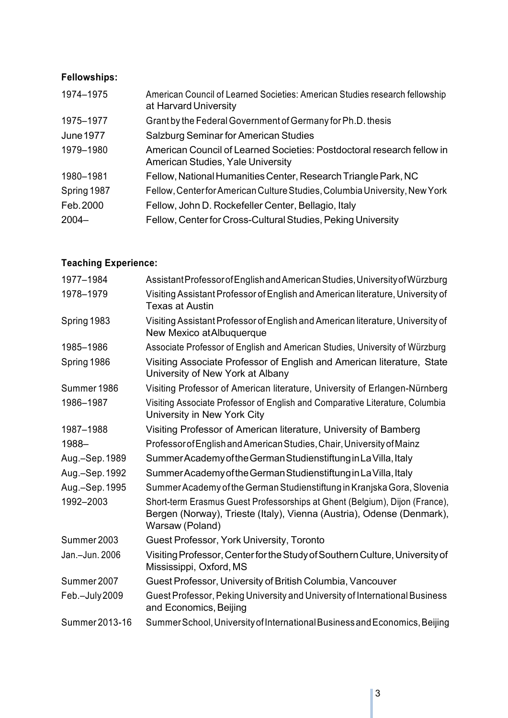# **Fellowships:**

| 1974-1975   | American Council of Learned Societies: American Studies research fellowship<br>at Harvard University               |
|-------------|--------------------------------------------------------------------------------------------------------------------|
| 1975-1977   | Grant by the Federal Government of Germany for Ph.D. thesis                                                        |
| June 1977   | <b>Salzburg Seminar for American Studies</b>                                                                       |
| 1979-1980   | American Council of Learned Societies: Postdoctoral research fellow in<br><b>American Studies, Yale University</b> |
| 1980-1981   | Fellow, National Humanities Center, Research Triangle Park, NC                                                     |
| Spring 1987 | Fellow, Center for American Culture Studies, Columbia University, New York                                         |
| Feb. 2000   | Fellow, John D. Rockefeller Center, Bellagio, Italy                                                                |
| $2004 -$    | Fellow, Center for Cross-Cultural Studies, Peking University                                                       |

# **Teaching Experience:**

| 1977-1984      | Assistant Professor of English and American Studies, University of Würzburg                                                                                             |
|----------------|-------------------------------------------------------------------------------------------------------------------------------------------------------------------------|
| 1978-1979      | Visiting Assistant Professor of English and American literature, University of<br><b>Texas at Austin</b>                                                                |
| Spring 1983    | Visiting Assistant Professor of English and American literature, University of<br>New Mexico at Albuquerque                                                             |
| 1985-1986      | Associate Professor of English and American Studies, University of Würzburg                                                                                             |
| Spring 1986    | Visiting Associate Professor of English and American literature, State<br>University of New York at Albany                                                              |
| Summer 1986    | Visiting Professor of American literature, University of Erlangen-Nürnberg                                                                                              |
| 1986-1987      | Visiting Associate Professor of English and Comparative Literature, Columbia<br>University in New York City                                                             |
| 1987-1988      | Visiting Professor of American literature, University of Bamberg                                                                                                        |
| 1988-          | Professor of English and American Studies, Chair, University of Mainz                                                                                                   |
| Aug.-Sep. 1989 | Summer Academy of the German Studienstiftung in La Villa, Italy                                                                                                         |
| Aug.-Sep. 1992 | Summer Academy of the German Studienstiftung in La Villa, Italy                                                                                                         |
| Aug.-Sep. 1995 | Summer Academy of the German Studienstiftung in Kranjska Gora, Slovenia                                                                                                 |
| 1992-2003      | Short-term Erasmus Guest Professorships at Ghent (Belgium), Dijon (France),<br>Bergen (Norway), Trieste (Italy), Vienna (Austria), Odense (Denmark),<br>Warsaw (Poland) |
| Summer 2003    | Guest Professor, York University, Toronto                                                                                                                               |
| Jan.-Jun. 2006 | Visiting Professor, Center for the Study of Southern Culture, University of<br>Mississippi, Oxford, MS                                                                  |
| Summer 2007    | Guest Professor, University of British Columbia, Vancouver                                                                                                              |
| Feb.-July 2009 | Guest Professor, Peking University and University of International Business<br>and Economics, Beijing                                                                   |
| Summer 2013-16 | Summer School, University of International Business and Economics, Beijing                                                                                              |
|                |                                                                                                                                                                         |

I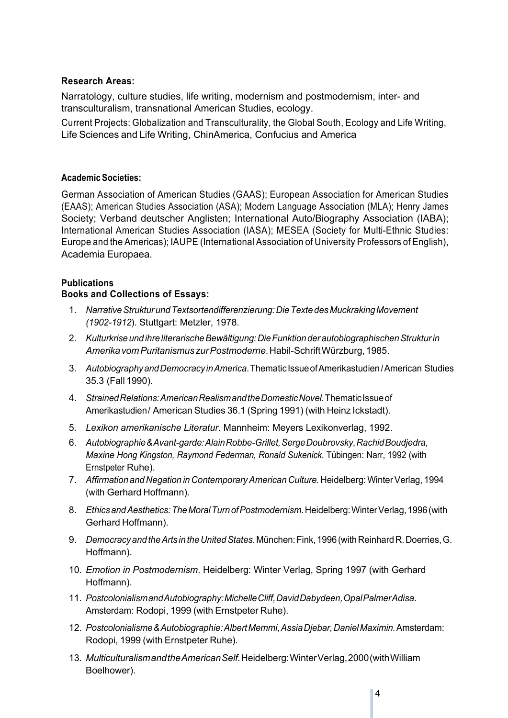#### **Research Areas:**

Narratology, culture studies, life writing, modernism and postmodernism, inter- and transculturalism, transnational American Studies, ecology.

Current Projects: Globalization and Transculturality, the Global South, Ecology and Life Writing, Life Sciences and Life Writing, ChinAmerica, Confucius and America

#### **Academic Societies:**

German Association of American Studies (GAAS); European Association for American Studies (EAAS); American Studies Association (ASA); Modern Language Association (MLA); Henry James Society; Verband deutscher Anglisten; International Auto/Biography Association (IABA); International American Studies Association (IASA); MESEA (Society for Multi-Ethnic Studies: Europe and the Americas); IAUPE (International Association of University Professors of English), Academia Europaea.

#### **Publications**

#### **Books and Collections of Essays:**

- 1. *NarrativeStrukturundTextsortendifferenzierung:DieTextedes MuckrakingMovement (1902-1912*). Stuttgart: Metzler, 1978.
- 2. *KulturkriseundihreliterarischeBewältigung:DieFunktionderautobiographischenStrukturin AmerikavomPuritanismuszurPostmoderne*. Habil-SchriftWürzburg,1985.
- 3. *AutobiographyandDemocracyinAmerica*. ThematicIssueofAmerikastudien/ American Studies 35.3 (Fall 1990).
- 4. *StrainedRelations:AmericanRealismandtheDomesticNovel*. ThematicIssueof Amerikastudien/ American Studies 36.1 (Spring 1991) (with Heinz Ickstadt).
- 5. *Lexikon amerikanische Literatur*. Mannheim: Meyers Lexikonverlag, 1992.
- 6. *Autobiographie& Avant-garde:AlainRobbe-Grillet,SergeDoubrovsky,RachidBoudjedra, Maxine Hong Kingston, Raymond Federman, Ronald Sukenick*. Tübingen: Narr, 1992 (with Ernstpeter Ruhe).
- 7. *Affirmation and Negation in ContemporaryAmerican Culture.* Heidelberg: WinterVerlag, 1994 (with Gerhard Hoffmann).
- 8. *EthicsandAesthetics:TheMoralTurnofPostmodernism.*Heidelberg:WinterVerlag,1996(with Gerhard Hoffmann).
- 9. *DemocracyandtheArts intheUnitedStates*. München:Fink,1996(withReinhardR.Doerries,G. Hoffmann).
- 10. *Emotion in Postmodernism*. Heidelberg: Winter Verlag, Spring 1997 (with Gerhard Hoffmann).
- 11. *PostcolonialismandAutobiography:MichelleCliff,DavidDabydeen,OpalPalmerAdisa*. Amsterdam: Rodopi, 1999 (with Ernstpeter Ruhe).
- 12. *Postcolonialisme& Autobiographie:AlbertMemmi,AssiaDjebar,DanielMaximin.*Amsterdam: Rodopi, 1999 (with Ernstpeter Ruhe).
- 13. *MulticulturalismandtheAmericanSelf.*Heidelberg:WinterVerlag,2000(withWilliam Boelhower).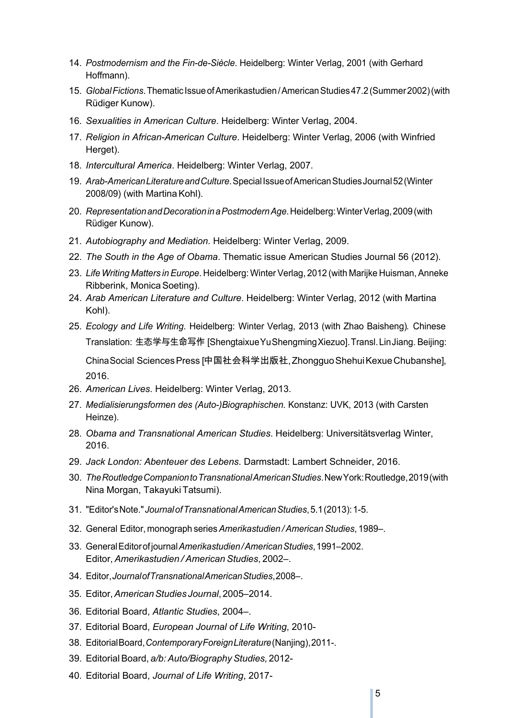- 14. *Postmodernism and the Fin-de-Siècle*. Heidelberg: Winter Verlag, 2001 (with Gerhard Hoffmann).
- 15. *GlobalFictions*.ThematicIssueofAmerikastudien/AmericanStudies47.2(Summer2002)(with Rüdiger Kunow).
- 16. *Sexualities in American Culture*. Heidelberg: Winter Verlag, 2004.
- 17. *Religion in African-American Culture*. Heidelberg: Winter Verlag, 2006 (with Winfried Herget).
- 18. *Intercultural America*. Heidelberg: Winter Verlag, 2007.
- 19. *Arab-AmericanLiteratureandCulture*.SpecialIssueofAmericanStudiesJournal52(Winter 2008/09) (with Martina Kohl).
- 20. *RepresentationandDecorationinaPostmodernAge*.Heidelberg:WinterVerlag,2009(with Rüdiger Kunow).
- 21. *Autobiography and Mediation*. Heidelberg: Winter Verlag, 2009.
- 22. *The South in the Age of Obama*. Thematic issue American Studies Journal 56 (2012).
- 23. *Life Writing Matters inEurope*. Heidelberg: WinterVerlag, 2012 (with Marijke Huisman,Anneke Ribberink, Monica Soeting).
- 24. *Arab American Literature and Culture*. Heidelberg: Winter Verlag, 2012 (with Martina Kohl).
- 25. *Ecology and Life Writing*. Heidelberg: Winter Verlag, 2013 (with Zhao Baisheng). Chinese Translation: 生态学与生命写作 [ShengtaixueYuShengmingXiezuo]. Transl. LinJiang. Beijing: ChinaSocial SciencesPress [中国社会科学出版社, ZhongguoShehuiKexueChubanshe], 2016.
- 26. *American Lives*. Heidelberg: Winter Verlag, 2013.
- 27. *Medialisierungsformen des (Auto-)Biographischen.* Konstanz: UVK, 2013 (with Carsten Heinze).
- 28. *Obama and Transnational American Studies*. Heidelberg: Universitätsverlag Winter, 2016.
- 29. *Jack London: Abenteuer des Lebens*. Darmstadt: Lambert Schneider, 2016.
- 30. *TheRoutledgeCompaniontoTransnationalAmericanStudies*.NewYork:Routledge,2019(with Nina Morgan, TakayukiTatsumi).
- 31. "Editor'sNote."*JournalofTransnationalAmericanStudies*,5.1(2013):1-5.
- 32. General Editor, monograph series*Amerikastudien /AmericanStudies*, 1989–.
- 33. GeneralEditorofjournal*Amerikastudien/AmericanStudies*,1991–2002. Editor, *Amerikastudien / American Studies*, 2002–.
- 34. Editor,*JournalofTransnationalAmericanStudies*,2008–.
- 35. Editor,*AmericanStudies Journal*, 2005–2014.
- 36. Editorial Board, *Atlantic Studies*, 2004–.
- 37. Editorial Board, *European Journal of Life Writing*, 2010-
- 38. EditorialBoard,*ContemporaryForeignLiterature*(Nanjing),2011-.
- 39. EditorialBoard, *a/b:Auto/BiographyStudies,* 2012-
- 40. Editorial Board, *Journal of Life Writing*, 2017-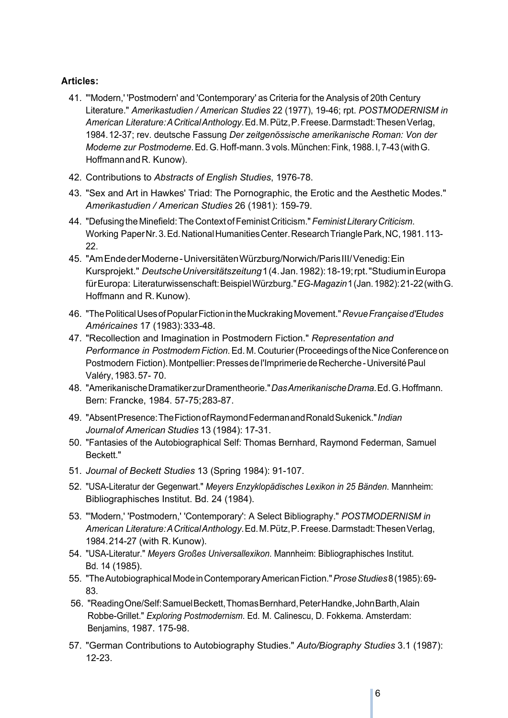#### **Articles:**

- 41. "'Modern,' 'Postmodern' and 'Contemporary' as Criteria for the Analysis of 20th Century Literature." *Amerikastudien / American Studies* 22 (1977), 19-46; rpt. *POSTMODERNISM in American Literature:ACriticalAnthology*.Ed.M.Pütz,P.Freese.Darmstadt:ThesenVerlag, 1984.12-37; rev. deutsche Fassung *Der zeitgenössische amerikanische Roman: Von der Moderne zur Postmoderne*.Ed.G.Hoff-mann.3vols.München:Fink,1988.I,7-43(withG. HoffmannandR. Kunow).
- 42. Contributions to *Abstracts of English Studies*, 1976-78.
- 43. "Sex and Art in Hawkes' Triad: The Pornographic, the Erotic and the Aesthetic Modes." *Amerikastudien / American Studies* 26 (1981): 159-79.
- 44. "Defusing the Minefield:The Context ofFeminist Criticism." *Feminist Literary Criticism*. Working Paper Nr. 3. Ed. National Humanities Center. Research Triangle Park, NC, 1981.113-22.
- 45. "AmEndederModerne-UniversitätenWürzburg/Norwich/ParisIII/Venedig:Ein Kursprojekt." *DeutscheUniversitätszeitung*1(4.Jan.1982):18-19;rpt."StudiuminEuropa fürEuropa: Literaturwissenschaft:BeispielWürzburg."*EG-Magazin*1(Jan.1982):21-22(withG. Hoffmann and R.Kunow).
- 46. "ThePoliticalUsesofPopularFictionintheMuckrakingMovement."*RevueFrançaised'Etudes Américaines* 17 (1983):333-48.
- 47. "Recollection and Imagination in Postmodern Fiction." *Representation and Performance in PostmodernFiction*.Ed. M. Couturier(Proceedings of the Nice Conference on Postmodern Fiction). Montpellier: Presses de l'Imprimerie de Recherche - Université Paul Valéry,1983.57- 70.
- 48. "AmerikanischeDramatikerzurDramentheorie."*DasAmerikanischeDrama*.Ed.G.Hoffmann. Bern: Francke, 1984. 57-75;283-87.
- 49. "AbsentPresence:TheFictionofRaymondFedermanandRonaldSukenick."*Indian Journalof American Studies* 13 (1984): 17-31.
- 50. "Fantasies of the Autobiographical Self: Thomas Bernhard, Raymond Federman, Samuel Beckett."
- 51. *Journal of Beckett Studies* 13 (Spring 1984): 91-107.
- 52. "USA-Literatur der Gegenwart." *Meyers Enzyklopädisches Lexikon in 25 Bänden*. Mannheim: Bibliographisches Institut. Bd. 24 (1984).
- 53. "'Modern,' 'Postmodern,' 'Contemporary': A Select Bibliography." *POSTMODERNISM in American Literature:ACriticalAnthology*.Ed.M.Pütz,P.Freese.Darmstadt:ThesenVerlag, 1984.214-27 (with R.Kunow).
- 54. "USA-Literatur." *Meyers Großes Universallexikon*. Mannheim: Bibliographisches Institut. Bd. 14 (1985).
- 55. "TheAutobiographicalModeinContemporaryAmericanFiction."*ProseStudies*8(1985):69- 83.
- 56. "ReadingOne/Self:SamuelBeckett,ThomasBernhard,PeterHandke,JohnBarth,Alain Robbe-Grillet." *Exploring Postmodernism*. Ed. M. Calinescu, D. Fokkema. Amsterdam: Benjamins, 1987. 175-98.
- 57. "German Contributions to Autobiography Studies." *Auto/Biography Studies* 3.1 (1987): 12-23.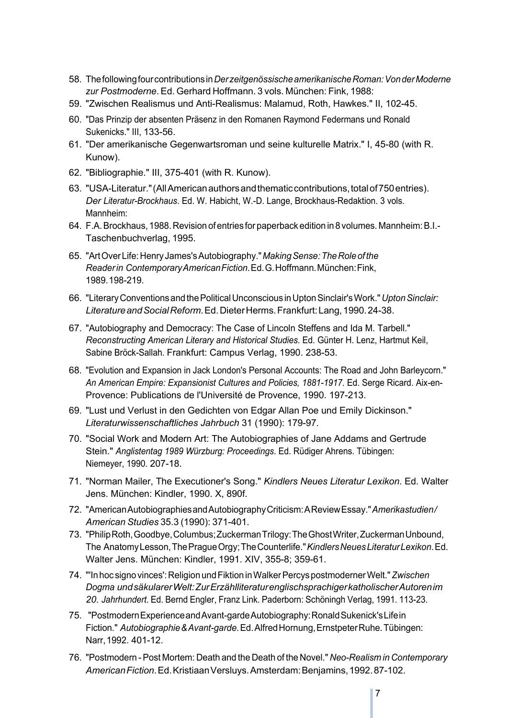- 58. Thefollowingfourcontributionsin*DerzeitgenössischeamerikanischeRoman:VonderModerne zur Postmoderne*. Ed. Gerhard Hoffmann. 3 vols. München: Fink, 1988:
- 59. "Zwischen Realismus und Anti-Realismus: Malamud, Roth, Hawkes." II, 102-45.
- 60. "Das Prinzip der absenten Präsenz in den Romanen Raymond Federmans und Ronald Sukenicks." III, 133-56.
- 61. "Der amerikanische Gegenwartsroman und seine kulturelle Matrix." I, 45-80 (with R. Kunow).
- 62. "Bibliographie." III, 375-401 (with R. Kunow).
- 63. "USA-Literatur."(AllAmericanauthorsandthematiccontributions,totalof750entries). *Der Literatur-Brockhaus*. Ed. W. Habicht, W.-D. Lange, Brockhaus-Redaktion. 3 vols. Mannheim:
- 64. F.A. Brockhaus, 1988. Revision of entries for paperback edition in 8 volumes. Mannheim: B.I.-Taschenbuchverlag, 1995.
- 65. "ArtOverLife:Henry James'sAutobiography."*MakingSense:TheRoleofthe Readerin ContemporaryAmericanFiction*.Ed.G.Hoffmann.München:Fink, 1989.198-219.
- 66. "LiteraryConventionsandthePoliticalUnconscious inUptonSinclair'sWork."*UptonSinclair: LiteratureandSocialReform*.Ed.DieterHerms.Frankfurt:Lang,1990.24-38.
- 67. "Autobiography and Democracy: The Case of Lincoln Steffens and Ida M. Tarbell." *Reconstructing American Literary and Historical Studies*. Ed. Günter H. Lenz, Hartmut Keil, Sabine Bröck-Sallah. Frankfurt: Campus Verlag, 1990. 238-53.
- 68. "Evolution and Expansion in Jack London's Personal Accounts: The Road and John Barleycorn." *An American Empire: Expansionist Cultures and Policies, 1881-1917*. Ed. Serge Ricard. Aix-en-Provence: Publications de l'Université de Provence, 1990. 197-213.
- 69. "Lust und Verlust in den Gedichten von Edgar Allan Poe und Emily Dickinson." *Literaturwissenschaftliches Jahrbuch* 31 (1990): 179-97.
- 70. "Social Work and Modern Art: The Autobiographies of Jane Addams and Gertrude Stein." *Anglistentag 1989 Würzburg: Proceedings*. Ed. Rüdiger Ahrens. Tübingen: Niemeyer, 1990. 207-18.
- 71. "Norman Mailer, The Executioner's Song." *Kindlers Neues Literatur Lexikon*. Ed. Walter Jens. München: Kindler, 1990. X, 890f.
- 72. "AmericanAutobiographiesandAutobiographyCriticism:AReviewEssay."*Amerikastudien/ American Studies* 35.3 (1990): 371-401.
- 73. "PhilipRoth,Goodbye,Columbus;ZuckermanTrilogy:TheGhostWriter,ZuckermanUnbound, The AnatomyLesson,ThePragueOrgy;TheCounterlife."*KindlersNeuesLiteraturLexikon*.Ed. Walter Jens. München: Kindler, 1991. XIV, 355-8; 359-61.
- 74. "'Inhoc signo vinces':Religion undFiktion inWalkerPercyspostmodernerWelt."*Zwischen Dogma undsäkularerWelt:ZurErzählliteraturenglischsprachigerkatholischerAutorenim 20. Jahrhundert*. Ed. Bernd Engler, Franz Link. Paderborn: Schöningh Verlag, 1991. 113-23.
- 75. "PostmodernExperienceandAvant-gardeAutobiography:RonaldSukenick'sLifein Fiction." *Autobiographie&Avant-garde*.Ed.AlfredHornung,ErnstpeterRuhe.Tübingen: Narr,1992. 401-12.
- 76. "Postmodern -Post Mortem: Death and the Death of the Novel." *Neo-Realism in Contemporary AmericanFiction*.Ed.KristiaanVersluys.Amsterdam:Benjamins,1992.87-102.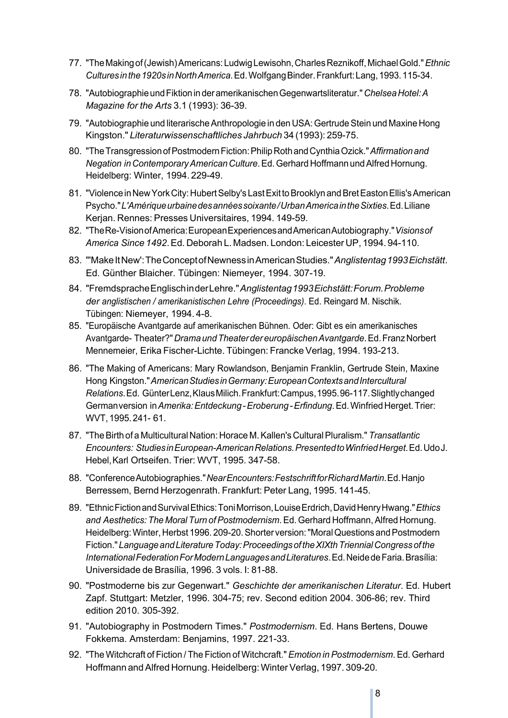- 77. "TheMakingof(Jewish)Americans:LudwigLewisohn,CharlesReznikoff,MichaelGold."*Ethnic Culturesinthe1920sinNorthAmerica*.Ed.WolfgangBinder.Frankfurt:Lang,1993.115-34.
- 78. "AutobiographieundFiktioninderamerikanischenGegenwartsliteratur."*ChelseaHotel:A Magazine for the Arts* 3.1 (1993): 36-39.
- 79. "Autobiographie und literarische Anthropologie in den USA: Gertrude Stein und Maxine Hong Kingston." *Literaturwissenschaftliches Jahrbuch* 34 (1993): 259-75.
- 80. "TheTransgressionofPostmodernFiction:PhilipRothandCynthiaOzick."*Affirmationand Negation inContemporaryAmericanCulture*.Ed.Gerhard Hoffmann undAlfred Hornung. Heidelberg: Winter, 1994. 229-49.
- 81. "Violence in New York City: Hubert Selby's Last Exit to Brooklyn and Bret Easton Ellis's American Psycho."*L'Amériqueurbainedesannéessoixante/UrbanAmericaintheSixties*.Ed.Liliane Kerjan. Rennes: Presses Universitaires, 1994. 149-59.
- 82. "TheRe-VisionofAmerica:EuropeanExperiencesandAmericanAutobiography."*Visionsof America Since 1492*.Ed. Deborah L. Madsen. London: Leicester UP, 1994. 94-110.
- 83. "'MakeItNew': The Concept of Newness in American Studies." Anglistentag 1993 Eichstätt. Ed. Günther Blaicher. Tübingen: Niemeyer, 1994. 307-19.
- 84. "FremdspracheEnglischinderLehre."*Anglistentag1993Eichstätt:Forum.Probleme der anglistischen / amerikanistischen Lehre (Proceedings)*. Ed. Reingard M. Nischik. Tübingen: Niemeyer, 1994. 4-8.
- 85. "Europäische Avantgarde auf amerikanischen Bühnen. Oder: Gibt es ein amerikanisches Avantgarde- Theater?"*DramaundTheaterdereuropäischenAvantgarde*.Ed.FranzNorbert Mennemeier, Erika Fischer-Lichte. Tübingen: Francke Verlag, 1994. 193-213.
- 86. "The Making of Americans: Mary Rowlandson, Benjamin Franklin, Gertrude Stein, Maxine Hong Kingston."*AmericanStudiesinGermany:EuropeanContextsandIntercultural Relations*.Ed. GünterLenz,KlausMilich.Frankfurt:Campus,1995.96-117.Slightlychanged Germanversion in*Amerika:Entdeckung-Eroberung-Erfindung*.Ed.WinfriedHerget.Trier: WVT,1995.241- 61.
- 87. "TheBirth of a Multicultural Nation: Horace M.Kallen's CulturalPluralism." *Transatlantic Encounters: StudiesinEuropean-AmericanRelations.PresentedtoWinfriedHerget*.Ed.UdoJ. Hebel,Karl Ortseifen. Trier: WVT, 1995. 347-58.
- 88. "ConferenceAutobiographies."*NearEncounters:FestschriftforRichardMartin*.Ed.Hanjo Berressem, Bernd Herzogenrath. Frankfurt: Peter Lang, 1995. 141-45.
- 89. "EthnicFictionandSurvivalEthics:ToniMorrison,LouiseErdrich,DavidHenryHwang."*Ethics and Aesthetics: The Moral Turn ofPostmodernism*.Ed. Gerhard Hoffmann,Alfred Hornung. Heidelberg: Winter, Herbst 1996. 209-20. Shorter version: "Moral Questions and Postmodern Fiction." Language and Literature Today: Proceedings of the XIXth Triennial Congress of the *InternationalFederationForModernLanguagesandLiteratures*.Ed.NeidedeFaria.Brasília: Universidade de Brasília, 1996. 3 vols. I: 81-88.
- 90. "Postmoderne bis zur Gegenwart." *Geschichte der amerikanischen Literatur*. Ed. Hubert Zapf. Stuttgart: Metzler, 1996. 304-75; rev. Second edition 2004. 306-86; rev. Third edition 2010. 305-392.
- 91. "Autobiography in Postmodern Times." *Postmodernism*. Ed. Hans Bertens, Douwe Fokkema. Amsterdam: Benjamins, 1997. 221-33.
- 92. "The Witchcraft of Fiction / The Fiction of Witchcraft." *Emotion in Postmodernism*. Ed. Gerhard Hoffmann and Alfred Hornung. Heidelberg: Winter Verlag, 1997. 309-20.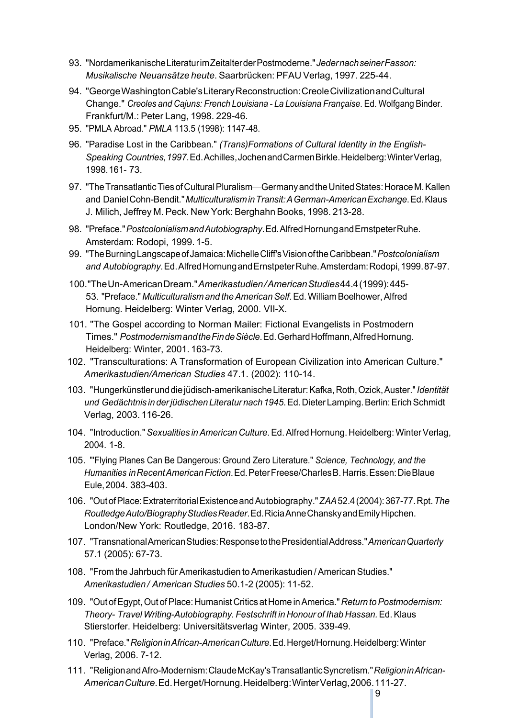- 93. "NordamerikanischeLiteraturimZeitalterderPostmoderne."*JedernachseinerFasson: Musikalische Neuansätze heute*. Saarbrücken: PFAU Verlag, 1997. 225-44.
- 94. "GeorgeWashingtonCable'sLiteraryReconstruction:CreoleCivilizationandCultural Change." *Creoles and Cajuns: French Louisiana - La Louisiana Française*. Ed. Wolfgang Binder. Frankfurt/M.: Peter Lang, 1998. 229-46.
- 95. "PMLA Abroad." *PMLA* 113.5 (1998): 1147-48.
- 96. "Paradise Lost in the Caribbean." *(Trans)Formations of Cultural Identity in the English-Speaking Countries,1997*.Ed.Achilles,JochenandCarmenBirkle.Heidelberg:WinterVerlag, 1998.161- 73.
- 97. "The Transatlantic Ties of Cultural Pluralism—Germany and the United States: Horace M. Kallen and DanielCohn-Bendit."*MulticulturalisminTransit:AGerman-AmericanExchange*.Ed.Klaus J. Milich, Jeffrey M. Peck. New York: Berghahn Books, 1998. 213-28.
- 98. "Preface."*PostcolonialismandAutobiography*.Ed.AlfredHornungandErnstpeterRuhe. Amsterdam: Rodopi, 1999. 1-5.
- 99. "TheBurningLangscapeofJamaica:MichelleCliff'sVisionoftheCaribbean."*Postcolonialism and Autobiography*.Ed.AlfredHornungandErnstpeterRuhe.Amsterdam:Rodopi,1999.87-97.
- 100."TheUn-AmericanDream."*Amerikastudien/AmericanStudies*44.4(1999):445- 53. "Preface." *Multiculturalism and theAmericanSelf*.Ed.William Boelhower,Alfred Hornung. Heidelberg: Winter Verlag, 2000. VII-X.
- 101. "The Gospel according to Norman Mailer: Fictional Evangelists in Postmodern Times." *PostmodernismandtheFindeSiècle*.Ed.GerhardHoffmann,AlfredHornung. Heidelberg: Winter, 2001. 163-73.
- 102. "Transculturations: A Transformation of European Civilization into American Culture." *Amerikastudien/American Studies* 47.1. (2002): 110-14.
- 103. "Hungerkünstlerunddiejüdisch-amerikanischeLiteratur:Kafka,Roth,Ozick,Auster."*Identität und Gedächtnis in derjüdischen Literatur nach 1945*.Ed.Dieter Lamping.Berlin:ErichSchmidt Verlag, 2003. 116-26.
- 104. "Introduction."*Sexualities inAmerican Culture*.Ed.Alfred Hornung. Heidelberg: WinterVerlag, 2004. 1-8.
- 105. "'Flying Planes Can Be Dangerous: Ground Zero Literature." *Science, Technology, and the Humanities inRecentAmericanFiction*.Ed.PeterFreese/CharlesB.Harris.Essen:DieBlaue Eule,2004. 383-403.
- 106. "OutofPlace:ExtraterritorialExistenceandAutobiography."*ZAA*52.4(2004):367-77.Rpt.*The RoutledgeAuto/BiographyStudiesReader*.Ed.RiciaAnneChanskyandEmilyHipchen. London/New York: Routledge, 2016. 183-87.
- 107. "TransnationalAmericanStudies:ResponsetothePresidentialAddress."*AmericanQuarterly* 57.1 (2005): 67-73.
- 108. "From the Jahrbuch fürAmerikastudien toAmerikastudien /American Studies." *Amerikastudien / American Studies* 50.1-2 (2005): 11-52.
- 109. "Out ofEgypt,Out ofPlace: HumanistCritics atHome inAmerica." *Return toPostmodernism: Theory- Travel Writing-Autobiography. Festschrift in Honour of Ihab Hassan.*Ed.Klaus Stierstorfer. Heidelberg: Universitätsverlag Winter, 2005. 339-49.
- 110. "Preface."*ReligioninAfrican-AmericanCulture*.Ed.Herget/Hornung.Heidelberg:Winter Verlag, 2006. 7-12.
- 111. "ReligionandAfro-Modernism:ClaudeMcKay'sTransatlanticSyncretism."*ReligioninAfrican-AmericanCulture*.Ed.Herget/Hornung.Heidelberg:WinterVerlag,2006.111-27.

9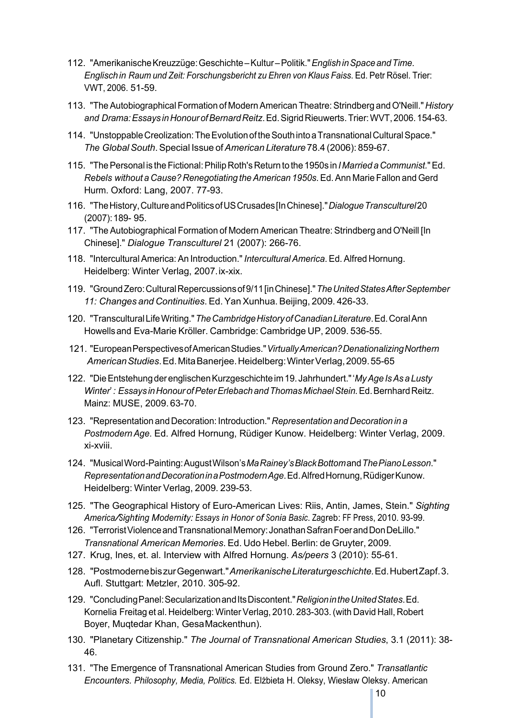- 112. "AmerikanischeKreuzzüge:Geschichte–Kultur–Politik."*EnglishinSpaceandTime. Englischin Raum und Zeit: Forschungsbericht zu Ehren von Klaus Faiss*. Ed. Petr Rösel. Trier: VWT, 2006. 51-59.
- 113. "TheAutobiographical Formation of ModernAmerican Theatre:Strindberg andO'Neill." *History and Drama:Essays inHonourofBernardReitz*.Ed.SigridRieuwerts.Trier:WVT,2006.154-63.
- 114. "UnstoppableCreolization:TheEvolutionoftheSouthintoaTransnationalCulturalSpace." *The GlobalSouth*.Special Issue of*American Literature* 78.4 (2006): 859-67.
- 115. "ThePersonal is theFictional:Philip Roth'sReturn to the 1950s in *I Married a Communist.*"Ed. *Rebels without a Cause? Renegotiating theAmerican 1950s*.Ed.Ann Marie Fallon and Gerd Hurm. Oxford: Lang, 2007. 77-93.
- 116. "TheHistory,CultureandPoliticsofUSCrusades[InChinese]."*DialogueTransculturel*20 (2007):189- 95.
- 117. "The Autobiographical Formation of Modern American Theatre: Strindberg and O'Neill [In Chinese]." *Dialogue Transculturel* 21 (2007): 266-76.
- 118. "Intercultural America: An Introduction."*Intercultural America*. Ed. Alfred Hornung. Heidelberg: Winter Verlag, 2007.ix-xix.
- 119. "GroundZero:CulturalRepercussionsof9/11[inChinese]."*TheUnitedStatesAfterSeptember 11: Changes and Continuities*. Ed. YanXunhua. Beijing, 2009. 426-33.
- 120. "TransculturalLifeWriting."*TheCambridgeHistoryofCanadianLiterature*.Ed.CoralAnn Howellsand Eva-Marie Kröller. Cambridge: Cambridge UP, 2009. 536-55.
- 121. "EuropeanPerspectivesofAmericanStudies."*VirtuallyAmerican?DenationalizingNorthern AmericanStudies*.Ed.MitaBanerjee.Heidelberg:WinterVerlag,2009.55-65
- 122. "DieEntstehungderenglischenKurzgeschichteim19. Jahrhundert."'*MyAge IsAsaLusty Winter*'*: Essays inHonourofPeterErlebachandThomasMichaelStein.*Ed.BernhardReitz. Mainz: MUSE, 2009. 63-70.
- 123. "Representation and Decoration: Introduction." *Representation and Decoration in a PostmodernAge*. Ed. Alfred Hornung, Rüdiger Kunow. Heidelberg: Winter Verlag, 2009. xi-xviii.
- 124. "MusicalWord-Painting:AugustWilson's*MaRainey'sBlackBottom*and*ThePianoLesson*." *RepresentationandDecorationinaPostmodernAge*.Ed.AlfredHornung,RüdigerKunow. Heidelberg: Winter Verlag, 2009. 239-53.
- 125. "The Geographical History of Euro-American Lives: Riis, Antin, James, Stein." *Sighting America/Sighting Modernity: Essays in Honor of Sonia Basic*. Zagreb: FF Press, 2010. 93-99.
- 126. "Terrorist Violence and Transnational Memory: Jonathan Safran Foer and Don DeLillo." *Transnational American Memories*. Ed. Udo Hebel. Berlin: de Gruyter, 2009.
- 127. Krug, Ines, et. al. Interview with Alfred Hornung. *As/peers* 3 (2010): 55-61.
- 128. "PostmodernebiszurGegenwart."*AmerikanischeLiteraturgeschichte.*Ed.HubertZapf.3. Aufl. Stuttgart: Metzler, 2010. 305-92.
- 129. "ConcludingPanel:SecularizationandItsDiscontent."*ReligionintheUnitedStates*.Ed. Kornelia Freitag et al. Heidelberg: Winter Verlag, 2010. 283-303.(with David Hall, Robert Boyer, Muqtedar Khan, GesaMackenthun).
- 130. "Planetary Citizenship." *The Journal of Transnational American Studies*, 3.1 (2011): 38- 46.
- 131. "The Emergence of Transnational American Studies from Ground Zero." *Transatlantic Encounters. Philosophy, Media, Politics.* Ed. Elżbieta H. Oleksy, Wiesław Oleksy. American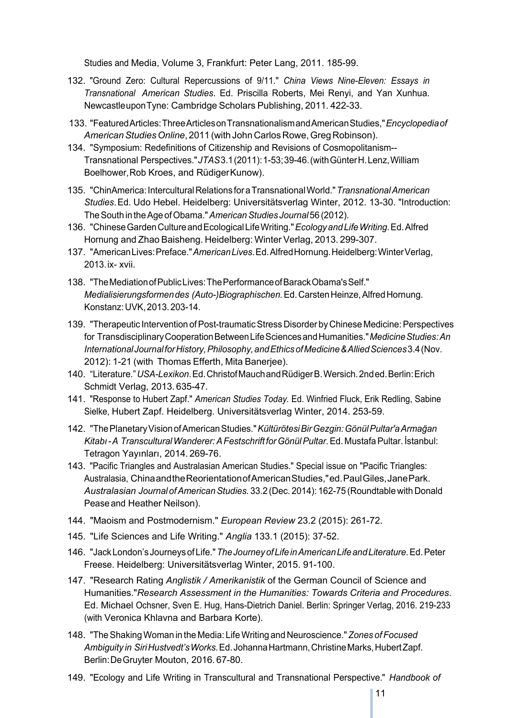Studies and Media, Volume 3, Frankfurt: Peter Lang, 2011. 185-99.

- 132. "Ground Zero: Cultural Repercussions of 9/11." *China Views Nine-Eleven: Essays in Transnational American Studies*. Ed. Priscilla Roberts, Mei Renyi, and Yan Xunhua. NewcastleuponTyne: Cambridge Scholars Publishing, 2011. 422-33.
- 133. "FeaturedArticles:ThreeArticlesonTransnationalismandAmericanStudies,"*Encyclopediaof AmericanStudiesOnline*, 2011 (with JohnCarlosRowe,GregRobinson).
- 134. "Symposium: Redefinitions of Citizenship and Revisions of Cosmopolitanism-- Transnational Perspectives."*JTAS*3.1(2011):1-53;39-46.(withGünterH.Lenz,William Boelhower, Rob Kroes, and RüdigerKunow).
- 135. "ChinAmerica:InterculturalRelations foraTransnationalWorld."*TransnationalAmerican Studies*.Ed. Udo Hebel. Heidelberg: Universitätsverlag Winter, 2012. 13-30. "Introduction: TheSouth in theAge ofObama."*AmericanStudies Journal* 56 (2012).
- 136. "ChineseGardenCultureandEcologicalLifeWriting."*EcologyandLifeWriting*.Ed.Alfred Hornung and Zhao Baisheng. Heidelberg: Winter Verlag, 2013. 299-307.
- 137. "AmericanLives:Preface."*AmericanLives*.Ed.AlfredHornung.Heidelberg:WinterVerlag, 2013.ix- xvii.
- 138. "TheMediationofPublicLives:ThePerformanceofBarackObama'sSelf." *Medialisierungsformendes (Auto-)Biographischen.*Ed.CarstenHeinze,AlfredHornung. Konstanz:UVK,2013.203-14.
- 139. "Therapeutic Intervention of Post-traumatic Stress Disorder by Chinese Medicine: Perspectives for TransdisciplinaryCooperationBetweenLifeSciencesandHumanities."*MedicineStudies:An InternationalJournalforHistory,Philosophy,andEthicsofMedicine&AlliedSciences*3.4(Nov. 2012): 1-21 (with Thomas Efferth, Mita Banerjee).
- 140. "Literature."*USA-Lexikon*.Ed.ChristofMauchandRüdigerB.Wersich.2nded.Berlin:Erich Schmidt Verlag, 2013. 635-47.
- 141. "Response to Hubert Zapf." *American Studies Today.* Ed. Winfried Fluck, Erik Redling, Sabine Sielke, Hubert Zapf. Heidelberg. Universitätsverlag Winter, 2014. 253-59.
- 142. "ThePlanetaryVisionofAmericanStudies."*KültürötesiBirGezgin:GönülPultar'aArmağan Kitabı-A TransculturalWanderer:AFestschrift forGönülPultar*.Ed. MustafaPultar. İstanbul: Tetragon Yayınları, 2014. 269-76.
- 143. "Pacific Triangles and Australasian American Studies." Special issue on "Pacific Triangles: Australasia, ChinaandtheReorientationofAmericanStudies,"ed.PaulGiles,JanePark. *Australasian Journal ofAmericanStudies.* 33.2 (Dec. 2014): 162-75 (Roundtable with Donald Pease and Heather Neilson).
- 144. "Maoism and Postmodernism." *European Review* 23.2 (2015): 261-72.
- 145. "Life Sciences and Life Writing." *Anglia* 133.1 (2015): 37-52.
- 146. "JackLondon'sJourneysofLife."*TheJourneyofLifeinAmericanLifeandLiterature.*Ed.Peter Freese. Heidelberg: Universitätsverlag Winter, 2015. 91-100.
- 147. "Research Rating *Anglistik / Amerikanistik* of the German Council of Science and Humanities."*Research Assessment in the Humanities: Towards Criteria and Procedures*. Ed. Michael Ochsner, Sven E. Hug, Hans-Dietrich Daniel. Berlin: Springer Verlag, 2016. 219-233 (with Veronica Khlavna and Barbara Korte).
- 148. "TheShakingWoman in the Media: LifeWriting and Neuroscience."*Zones of Focused Ambiguity in SiriHustvedt'sWorks.*Ed.JohannaHartmann,ChristineMarks,HubertZapf. Berlin:DeGruyter Mouton, 2016. 67-80.
- 149. "Ecology and Life Writing in Transcultural and Transnational Perspective." *Handbook of*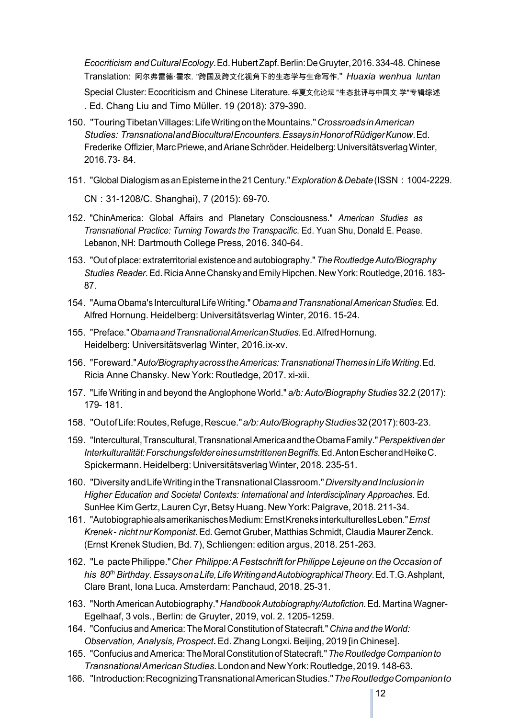*Ecocriticism andCulturalEcology*. Ed. HubertZapf. Berlin: DeGruyter, 2016. 334-48. Chinese Translation: 阿尔弗雷德·霍农. "跨国及跨文化视角下的生态学与生命写作." *Huaxia wenhua luntan*  Special Cluster: Ecocriticism and Chinese Literature*.* 华夏文化论坛 "生态批评与中国文 学"专辑综述 *.* Ed. Chang Liu and Timo Müller. 19 (2018): 379-390.

- 150. "TouringTibetanVillages:LifeWritingontheMountains."*CrossroadsinAmerican Studies: TransnationalandBioculturalEncounters.EssaysinHonorofRüdigerKunow*.Ed. Frederike Offizier, Marc Priewe, and Ariane Schröder. Heidelberg: Universitätsverlag Winter, 2016.73- 84.
- 151. "GlobalDialogismasanEpistemeinthe21Century."*Exploration&Debate*(ISSN:1004-2229. CN:31-1208/C. Shanghai), 7 (2015): 69-70.
- 152. "ChinAmerica: Global Affairs and Planetary Consciousness." *American Studies as Transnational Practice: Turning Towards the Transpacific.* Ed. Yuan Shu, Donald E. Pease. Lebanon, NH: Dartmouth College Press, 2016. 340-64.
- 153. "Out of place: extraterritorial existence and autobiography."*The RoutledgeAuto/Biography Studies Reader.*Ed.RiciaAnneChanskyandEmilyHipchen.NewYork:Routledge,2016.183- 87.
- 154. "AumaObama's InterculturalLifeWriting."*ObamaandTransnationalAmericanStudies.*Ed. Alfred Hornung. Heidelberg: Universitätsverlag Winter, 2016. 15-24.
- 155. "Preface."*ObamaandTransnationalAmericanStudies.*Ed.AlfredHornung. Heidelberg: Universitätsverlag Winter, 2016.ix-xv.
- 156. "Foreward."*Auto/BiographyacrosstheAmericas:TransnationalThemesinLifeWriting*.Ed. Ricia Anne Chansky. New York: Routledge, 2017. xi-xii.
- 157. "Life Writing in and beyond the Anglophone World." *a/b: Auto/Biography Studies* 32.2 (2017): 179- 181.
- 158. "OutofLife:Routes,Refuge,Rescue."*a/b:Auto/BiographyStudies*32(2017):603-23.
- 159. "Intercultural,Transcultural,TransnationalAmericaandtheObamaFamily."*Perspektivender Interkulturalität:ForschungsfeldereinesumstrittenenBegriffs.*Ed.AntonEscherandHeikeC. Spickermann. Heidelberg: Universitätsverlag Winter, 2018. 235-51.
- 160. "DiversityandLifeWritingintheTransnationalClassroom."*DiversityandInclusionin Higher Education and Societal Contexts: International and Interdisciplinary Approaches*. Ed. SunHee Kim Gertz, Lauren Cyr, Betsy Huang. New York: Palgrave, 2018. 211-34.
- 161. "AutobiographiealsamerikanischesMedium:ErnstKreneksinterkulturellesLeben."*Ernst Krenek- nicht nurKomponist.*Ed.Gernot Gruber, MatthiasSchmidt, Claudia Maurer Zenck. (Ernst Krenek Studien, Bd. 7), Schliengen: edition argus, 2018. 251-263.
- 162. "Le pactePhilippe."*Cher Philippe:AFestschrift forPhilippe Lejeune on theOccasion of his 80th Birthday. EssaysonaLife,LifeWritingandAutobiographicalTheory*.Ed.T.G.Ashplant, Clare Brant, Iona Luca. Amsterdam: Panchaud, 2018. 25-31.
- 163. "NorthAmericanAutobiography." *HandbookAutobiography/Autofiction.*Ed. Martina Wagner-Egelhaaf, 3 vols., Berlin: de Gruyter, 2019, vol. 2. 1205-1259.
- 164. "Confucius andAmerica: The Moral Constitution ofStatecraft." *China and theWorld: Observation, Analysis, Prospect***.** Ed. Zhang Longxi. Beijing, 2019 [in Chinese].
- 165. "ConfuciusandAmerica:TheMoralConstitutionofStatecraft."*TheRoutledgeCompanionto TransnationalAmericanStudies.*LondonandNewYork:Routledge,2019.148-63.
- 166. "Introduction:RecognizingTransnationalAmericanStudies."*TheRoutledgeCompanionto*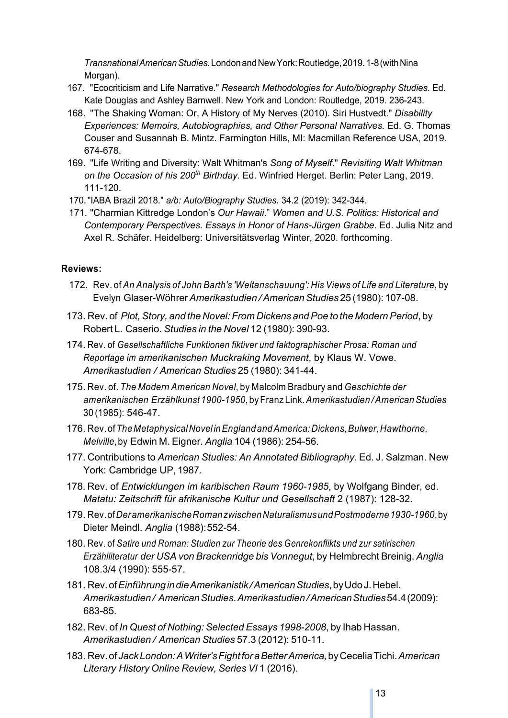*TransnationalAmericanStudies.*LondonandNewYork:Routledge,2019.1-8(withNina Morgan).

- 167. "Ecocriticism and Life Narrative." *Research Methodologies for Auto/biography Studies*. Ed. Kate Douglas and Ashley Barnwell. New York and London: Routledge, 2019. 236-243.
- 168. "The Shaking Woman: Or, A History of My Nerves (2010). Siri Hustvedt." *Disability Experiences: Memoirs, Autobiographies, and Other Personal Narratives.* Ed. G. Thomas Couser and Susannah B. Mintz. Farmington Hills, MI: Macmillan Reference USA, 2019. 674-678.
- 169. "Life Writing and Diversity: Walt Whitman's *Song of Myself*." *Revisiting Walt Whitman* on the Occasion of his 200<sup>th</sup> Birthday. Ed. Winfried Herget. Berlin: Peter Lang, 2019. 111-120.
- 170."IABA Brazil 2018." *a/b: Auto/Biography Studies*. 34.2 (2019): 342-344.
- 171. "Charmian Kittredge London's *Our Hawaii*." *Women and U.S. Politics: Historical and Contemporary Perspectives. Essays in Honor of Hans-Jürgen Grabbe.* Ed. Julia Nitz and Axel R. Schäfer. Heidelberg: Universitätsverlag Winter, 2020. forthcoming.

#### **Reviews:**

- 172. Rev. of *An Analysis of John Barth's 'Weltanschauung': His Views of Life and Literature*, by Evelyn Glaser-Wöhrer*Amerikastudien /AmericanStudies* 25 (1980): 107-08.
- 173. Rev. of *Plot,Story, and the Novel: From Dickens andPoe to the ModernPeriod*, by Robert L. Caserio. *Studies in the Novel* 12 (1980): 390-93.
- 174. Rev. of *Gesellschaftliche Funktionen fiktiver und faktographischer Prosa: Roman und Reportage im amerikanischen Muckraking Movement*, by Klaus W. Vowe. *Amerikastudien / American Studies* 25 (1980): 341-44.
- 175. Rev. of. *The Modern American Novel*, by Malcolm Bradbury and *Geschichte der amerikanischen Erzählkunst 1900-1950*, byFranz Link.*Amerikastudien /AmericanStudies* 30 (1985): 546-47.
- 176. Rev.of*TheMetaphysicalNovel inEngland andAmerica:Dickens,Bulwer,Hawthorne, Melville*,by Edwin M. Eigner. *Anglia* 104 (1986): 254-56.
- 177. Contributions to *American Studies: An Annotated Bibliography*. Ed. J. Salzman. New York: Cambridge UP, 1987.
- 178. Rev. of *Entwicklungen im karibischen Raum 1960-1985*, by Wolfgang Binder, ed. *Matatu: Zeitschrift für afrikanische Kultur und Gesellschaft* 2 (1987): 128-32.
- 179. Rev.of*DeramerikanischeRomanzwischenNaturalismusundPostmoderne1930-1960*,by Dieter Meindl. *Anglia* (1988):552-54.
- 180. Rev. of *Satire und Roman: Studien zur Theorie des Genrekonflikts und zur satirischen Erzählliteratur der USA von Brackenridge bis Vonnegut*, by Helmbrecht Breinig. *Anglia* 108.3/4 (1990): 555-57.
- 181. Rev.of*EinführungindieAmerikanistik/AmericanStudies*,byUdoJ.Hebel. *Amerikastudien/ AmericanStudies*.*Amerikastudien/AmericanStudies*54.4(2009): 683-85.
- 182. Rev. of *In Quest of Nothing: Selected Essays 1998-2008*, by Ihab Hassan. *Amerikastudien / American Studies* 57.3 (2012): 510-11.
- 183. Rev.of*JackLondon:AWriter'sFightforaBetterAmerica,*byCeceliaTichi.*American Literary History Online Review, Series VI* 1 (2016).